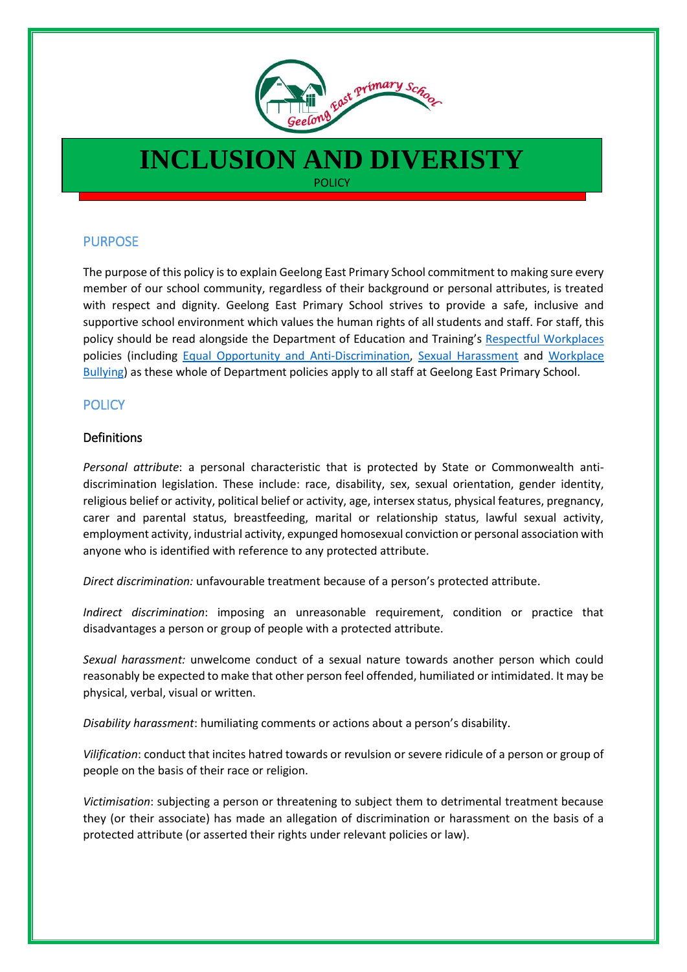

# **INCLUSION AND DIVERISTY POLICY**

## **PURPOSE**

The purpose of this policy is to explain Geelong East Primary School commitment to making sure every member of our school community, regardless of their background or personal attributes, is treated with respect and dignity. Geelong East Primary School strives to provide a safe, inclusive and supportive school environment which values the human rights of all students and staff. For staff, this policy should be read alongside the Department of Education and Training's [Respectful Workplaces](https://www.education.vic.gov.au/hrweb/divequity/Pages/respect.aspx) policies (including [Equal Opportunity and Anti-Discrimination,](https://www.education.vic.gov.au/hrweb/divequity/Pages/default_eeo.aspx) [Sexual Harassment](https://www.education.vic.gov.au/hrweb/divequity/Pages/SexualHarassment.aspx) and [Workplace](https://www.education.vic.gov.au/hrweb/safetyhw/Pages/workplacebullying.aspx)  [Bullying\)](https://www.education.vic.gov.au/hrweb/safetyhw/Pages/workplacebullying.aspx) as these whole of Department policies apply to all staff at Geelong East Primary School.

### **POLICY**

#### Definitions

*Personal attribute*: a personal characteristic that is protected by State or Commonwealth antidiscrimination legislation. These include: race, disability, sex, sexual orientation, gender identity, religious belief or activity, political belief or activity, age, intersex status, physical features, pregnancy, carer and parental status, breastfeeding, marital or relationship status, lawful sexual activity, employment activity, industrial activity, expunged homosexual conviction or personal association with anyone who is identified with reference to any protected attribute.

*Direct discrimination:* unfavourable treatment because of a person's protected attribute.

*Indirect discrimination*: imposing an unreasonable requirement, condition or practice that disadvantages a person or group of people with a protected attribute.

*Sexual harassment:* unwelcome conduct of a sexual nature towards another person which could reasonably be expected to make that other person feel offended, humiliated or intimidated. It may be physical, verbal, visual or written.

*Disability harassment*: humiliating comments or actions about a person's disability.

*Vilification*: conduct that incites hatred towards or revulsion or severe ridicule of a person or group of people on the basis of their race or religion.

*Victimisation*: subjecting a person or threatening to subject them to detrimental treatment because they (or their associate) has made an allegation of discrimination or harassment on the basis of a protected attribute (or asserted their rights under relevant policies or law).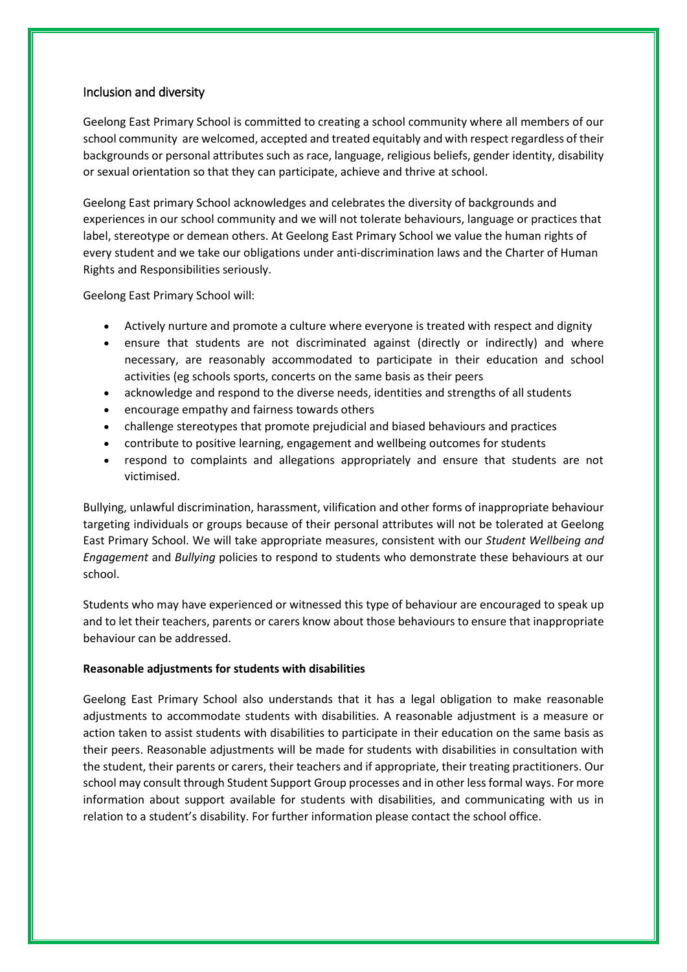#### Inclusion and diversity

Geelong East Primary School is committed to creating a school community where all members of our school community are welcomed, accepted and treated equitably and with respect regardless of their backgrounds or personal attributes such as race, language, religious beliefs, gender identity, disability or sexual orientation so that they can participate, achieve and thrive at school.

Geelong East primary School acknowledges and celebrates the diversity of backgrounds and experiences in our school community and we will not tolerate behaviours, language or practices that label, stereotype or demean others. At Geelong East Primary School we value the human rights of every student and we take our obligations under anti-discrimination laws and the Charter of Human Rights and Responsibilities seriously.

Geelong East Primary School will:

- Actively nurture and promote a culture where everyone is treated with respect and dignity
- ensure that students are not discriminated against (directly or indirectly) and where necessary, are reasonably accommodated to participate in their education and school activities (eg schools sports, concerts on the same basis as their peers
- acknowledge and respond to the diverse needs, identities and strengths of all students
- encourage empathy and fairness towards others
- challenge stereotypes that promote prejudicial and biased behaviours and practices
- contribute to positive learning, engagement and wellbeing outcomes for students
- respond to complaints and allegations appropriately and ensure that students are not victimised.

Bullying, unlawful discrimination, harassment, vilification and other forms of inappropriate behaviour targeting individuals or groups because of their personal attributes will not be tolerated at Geelong East Primary School. We will take appropriate measures, consistent with our *Student Wellbeing and Engagement* and *Bullying* policies to respond to students who demonstrate these behaviours at our school.

Students who may have experienced or witnessed this type of behaviour are encouraged to speak up and to let their teachers, parents or carers know about those behaviours to ensure that inappropriate behaviour can be addressed.

#### **Reasonable adjustments for students with disabilities**

Geelong East Primary School also understands that it has a legal obligation to make reasonable adjustments to accommodate students with disabilities. A reasonable adjustment is a measure or action taken to assist students with disabilities to participate in their education on the same basis as their peers. Reasonable adjustments will be made for students with disabilities in consultation with the student, their parents or carers, their teachers and if appropriate, their treating practitioners. Our school may consult through Student Support Group processes and in other less formal ways. For more information about support available for students with disabilities, and communicating with us in relation to a student's disability. For further information please contact the school office.